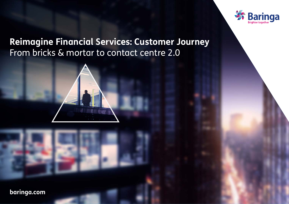

## **Reimagine Financial Services: Customer Journey** From bricks & mortar to contact centre 2.0



**[baringa.com](https://www.baringa.com/en/)**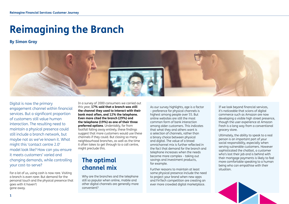# **Reimagining the Branch**

## **By Simon Gray**



Digital is now the primary engagement channel within financial services. But a significant proportion of customers still value human interaction. The resulting need to maintain a physical presence could still include a branch network, but maybe not as we've known it. What might this 'contact centre 2.0' model look like? How can you ensure it meets customers' varied and changing demands, while controlling your cost-to-serve?

For a lot of us, using cash is now rare. Visiting a branch is even rarer. But demand for the personal touch and the physical presence that goes with it haven't gone away.

In a survey of 2000 consumers we carried out this year, **17% said that a branch was still the channel they used to interact with their bank most often, and 12% the telephone. Even more cited the branch (29%) and the telephone (19%) as one of their three preferred options**. Undeniably, far from footfall falling away entirely, these findings suggest that more customers would use these channels if they could. But closing so many neighbourhood branches, as well as the time it often takes to get through to a call centre, might preclude this.

## **The optimal channel mix**

Why are the branches and the telephone still so popular when online, mobile and other digital channels are generally more convenient?

As our survey highlights, age is a factor – preference for physical channels is highest among people over 55. But online websites are still the most common form of bank interaction among older customers. This indicates that what they and others want is a selection of channels, rather than a binary choice between physical and digital. The value of a broad omnichannel mix is further reflected in the fact that demand for the branch and telephone increases when the needs become more complex – taking out savings and investment products, for example.

Further reasons to maintain at least some physical presence include the need to project your brand when new apps and FinTech competition are creating an ever more crowded digital marketplace.

If we look beyond financial services, it's noticeable that scions of digital commerce such as Amazon are now developing a visible high street presence, though the user experience at Amazon Fresh is a long way from a conventional grocery store.

Ultimately, the ability to speak to a real person is an important part of your social responsibility, especially when serving vulnerable customers. However sophisticated the chatbot, a customer who's lost their job and is behind with their mortgage payments is likely to feel more comfortable speaking to a human being who can empathise with their situation.

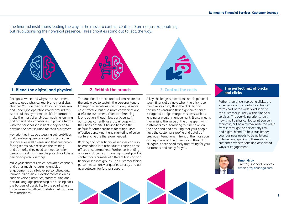The financial institutions leading the way in the move to contact centre 2.0 are not just rationalising, but revolutionising their physical presence. Three priorities stand out to lead the way:



## **1. Blend the digital and physical 2. Rethink the branch 3. Control the costs**

Recognise when and why some customers want to use a physical (eg. branch) or digital channel. You can then build your channel mix and underlying operating model around this. As part of this hybrid model, it's important to make the most of analytics, machine learning and other digital capabilities to provide teams with the personalised insights they need to develop the best solution for their customers.

Key priorities include assessing vulnerabilities and developing personalised and proactive responses as well as ensuring that customerfacing teams have received the training and authority they need to meet complex demands and maximise the potential of these person-to-person settings.

Make your chatbots, voice-activated channels and other machine learning-enabled engagements as intuitive, personalised and 'human' as possible. Developments in areas such as voice biometrics, smart routing and natural language processing are pushing back the borders of possibility to the point where it's increasingly difficult to distinguish humans from machines.

The traditional branch and call centre are not the only ways to sustain the personal touch. Emerging alternatives can not only be more cost-effective, but also more convenient and useful for customers. Video conferencing is one option, though few participants in our survey currently use it to engage with their bank despite it having become the default for other business meetings. More effective deployment and marketing of voice conferencing are therefore needed.

Banking and other financial services can also be embedded into other outlets such as post offices or supermarkets. Further co-branding options include a common high street point of contact for a number of different banking and financial services groups. The customer facing personnel can answer queries directly and act as a gateway for further support.

A key challenge is how to make this personal touch financially viable when the brick is so much more costly than the click. In part, this means ensuring that high touch service is targeted at high margin business such as lending or wealth management. It also means maximising the value of the time spent with customers by automating routine tasks on the one hand and ensuring that your people have the customer's profile and details of previous interactions in front of them as soon as they speak on the other. Going through it all again is both needlessly frustrating for your customers and costly for you.

### **The perfect mix of bricks and clicks**

Rather than bricks replacing clicks, the emergence of the contact centre 2.0 forms part of the wider evolution of the customer journey within financial services. The overriding priority isn't how small a physical footprint you can maintain, but how to maximise the value from it through the perfect physical and digital blend. To be a true leader, your business needs to be agile and able respond quickly to these shifts in customer expectations and associated ways of engagement.



**Simon Gray**  Director, Financial Services [simon.gray@baringa.com](mailto:simon.gray%40baringa.com?subject=)